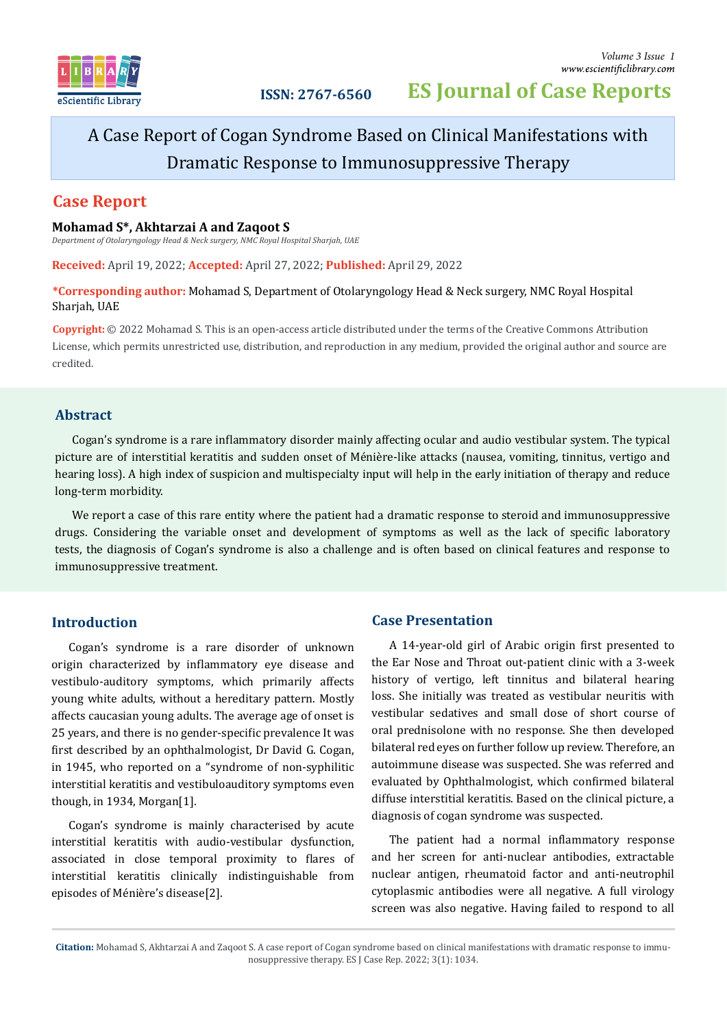

# A Case Report of Cogan Syndrome Based on Clinical Manifestations with Dramatic Response to Immunosuppressive Therapy

# **Case Report**

### **Mohamad S\*, Akhtarzai A and Zaqoot S**

*Department of Otolaryngology Head & Neck surgery, NMC Royal Hospital Sharjah, UAE*

**Received:** April 19, 2022; **Accepted:** April 27, 2022; **Published:** April 29, 2022

### **\*Corresponding author:** Mohamad S, Department of Otolaryngology Head & Neck surgery, NMC Royal Hospital Sharjah, UAE

**Copyright:** © 2022 Mohamad S. This is an open-access article distributed under the terms of the Creative Commons Attribution License, which permits unrestricted use, distribution, and reproduction in any medium, provided the original author and source are credited.

# **Abstract**

Cogan's syndrome is a rare in�lammatory disorder mainly affecting ocular and audio vestibular system. The typical picture are of interstitial keratitis and sudden onset of Ménière-like attacks (nausea, vomiting, tinnitus, vertigo and hearing loss). A high index of suspicion and multispecialty input will help in the early initiation of therapy and reduce long-term morbidity.

We report a case of this rare entity where the patient had a dramatic response to steroid and immunosuppressive drugs. Considering the variable onset and development of symptoms as well as the lack of specific laboratory tests, the diagnosis of Cogan's syndrome is also a challenge and is often based on clinical features and response to immunosuppressive treatment.

# **Introduction**

Cogan's syndrome is a rare disorder of unknown origin characterized by in�lammatory eye disease and vestibulo-auditory symptoms, which primarily affects young white adults, without a hereditary pattern. Mostly affects caucasian young adults. The average age of onset is 25 years, and there is no gender-speci�ic prevalence It was first described by an ophthalmologist, Dr David G. Cogan, in 1945, who reported on a "syndrome of non-syphilitic interstitial keratitis and vestibuloauditory symptoms even though, in 1934, Morgan[1].

Cogan's syndrome is mainly characterised by acute interstitial keratitis with audio-vestibular dysfunction, associated in close temporal proximity to flares of interstitial keratitis clinically indistinguishable from episodes of Ménière's disease[2].

# **Case Presentation**

A 14-year-old girl of Arabic origin first presented to the Ear Nose and Throat out-patient clinic with a 3-week history of vertigo, left tinnitus and bilateral hearing loss. She initially was treated as vestibular neuritis with vestibular sedatives and small dose of short course of oral prednisolone with no response. She then developed bilateral red eyes on further follow up review. Therefore, an autoimmune disease was suspected. She was referred and evaluated by Ophthalmologist, which con�irmed bilateral diffuse interstitial keratitis. Based on the clinical picture, a diagnosis of cogan syndrome was suspected.

The patient had a normal inflammatory response and her screen for anti-nuclear antibodies, extractable nuclear antigen, rheumatoid factor and anti-neutrophil cytoplasmic antibodies were all negative. A full virology screen was also negative. Having failed to respond to all

**Citation:** Mohamad S, Akhtarzai A and Zaqoot S. A case report of Cogan syndrome based on clinical manifestations with dramatic response to immunosuppressive therapy. ES J Case Rep. 2022; 3(1): 1034.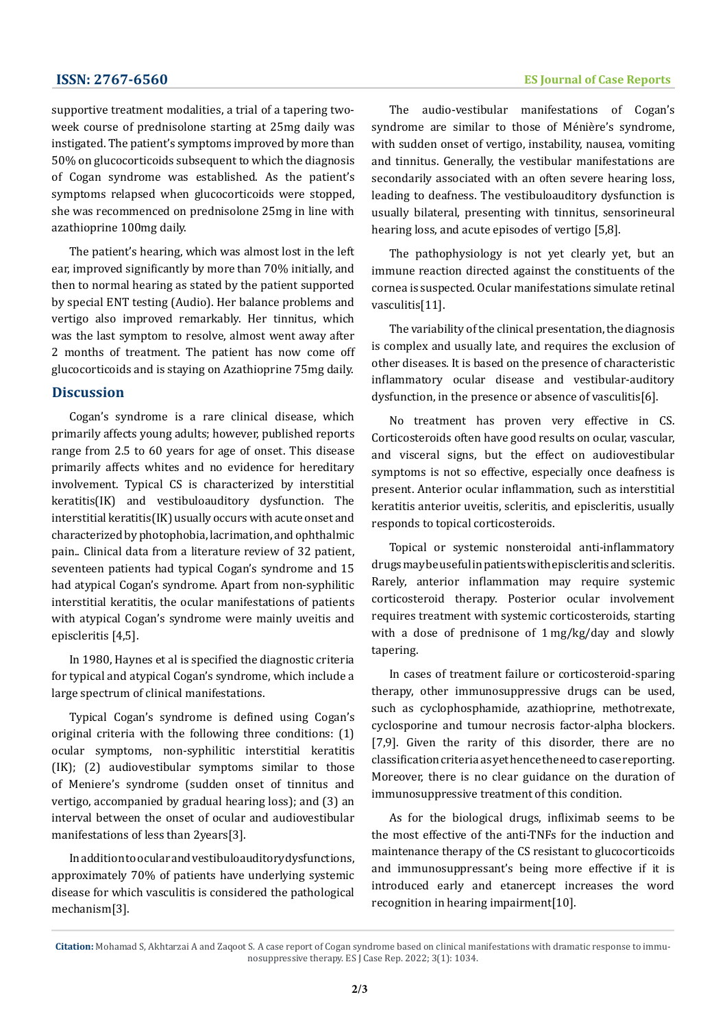supportive treatment modalities, a trial of a tapering twoweek course of prednisolone starting at 25mg daily was instigated. The patient's symptoms improved by more than 50% on glucocorticoids subsequent to which the diagnosis of Cogan syndrome was established. As the patient's symptoms relapsed when glucocorticoids were stopped, she was recommenced on prednisolone 25mg in line with azathioprine 100mg daily.

The patient's hearing, which was almost lost in the left ear, improved significantly by more than 70% initially, and then to normal hearing as stated by the patient supported by special ENT testing (Audio). Her balance problems and vertigo also improved remarkably. Her tinnitus, which was the last symptom to resolve, almost went away after 2 months of treatment. The patient has now come off glucocorticoids and is staying on Azathioprine 75mg daily.

# **Discussion**

Cogan's syndrome is a rare clinical disease, which primarily affects young adults; however, published reports range from 2.5 to 60 years for age of onset. This disease primarily affects whites and no evidence for hereditary involvement. Typical CS is characterized by interstitial keratitis(IK) and vestibuloauditory dysfunction. The interstitial keratitis(IK) usually occurs with acute onset and characterized by [photophobia, lacrimation](https://www.sciencedirect.com/topics/medicine-and-dentistry/photophobia), and ophthalmic pain.. Clinical data from a literature review of 32 patient, seventeen patients had typical Cogan's syndrome and 15 had atypical Cogan's syndrome. Apart from non-syphilitic interstitial keratitis, the ocular manifestations of patients with atypical Cogan's syndrome were mainly uveitis and episcleritis [4,5].

In 1980, Haynes et al is specified the diagnostic criteria for typical and atypical Cogan's syndrome, which include a large spectrum of clinical manifestations.

Typical Cogan's syndrome is defined using Cogan's original criteria with the following three conditions: (1) ocular symptoms, non-syphilitic interstitial keratitis (IK); (2) audiovestibular symptoms similar to those of Meniere's syndrome (sudden onset of tinnitus and [vertigo,](https://www.sciencedirect.com/topics/medicine-and-dentistry/vertigo) accompanied by gradual hearing loss); and (3) an interval between the onset of ocular and audiovestibular manifestations of less than 2years[3].

In addition to ocular and vestibuloauditory dysfunctions, approximately 70% of patients have underlying systemic disease for which vasculitis is considered the pathological mechanism[3].

The audio-vestibular manifestations of Cogan's syndrome are similar to those of Ménière's syndrome, with sudden onset of vertigo, instability, nausea, vomiting and tinnitus. Generally, the vestibular manifestations are secondarily associated with an often severe hearing loss, leading to deafness. The vestibuloauditory dysfunction is usually bilateral, presenting with tinnitus, sensorineural hearing loss, and acute episodes of vertigo [5,8].

The pathophysiology is not yet clearly yet, but an immune reaction directed against the constituents of the cornea is suspected. Ocular manifestations simulate retinal vasculitis[11].

The variability of the clinical presentation, the diagnosis is complex and usually late, and requires the exclusion of other diseases. It is based on the presence of characteristic inflammatory ocular disease and vestibular-auditory dysfunction, in the presence or absence of vasculitis[6].

No treatment has proven very effective in CS. Corticosteroids often have good results on ocular, vascular, and visceral signs, but the effect on audiovestibular symptoms is not so effective, especially once deafness is present. Anterior ocular inflammation, such as interstitial keratitis anterior uveitis, scleritis, and episcleritis, usually responds to topical corticosteroids.

Topical or systemic nonsteroidal anti-inflammatory drugs may be useful in patients with episcleritis and scleritis. Rarely, anterior inflammation may require systemic corticosteroid therapy. Posterior ocular involvement requires treatment with systemic corticosteroids, starting with a dose of prednisone of 1 mg/kg/day and slowly tapering.

In cases of treatment failure or corticosteroid-sparing therapy, other immunosuppressive drugs can be used, such as cyclophosphamide, azathioprine, methotrexate, cyclosporine and tumour necrosis factor-alpha blockers. [7,9]. Given the rarity of this disorder, there are no classification criteria as yet hence the need to case reporting. Moreover, there is no clear guidance on the duration of immunosuppressive treatment of this condition.

As for the biological drugs, infliximab seems to be the most effective of the anti-TNFs for the induction and maintenance therapy of the CS resistant to glucocorticoids and immunosuppressant's being more effective if it is introduced early and etanercept increases the word recognition in hearing impairment[10].

**Citation:** Mohamad S, Akhtarzai A and Zaqoot S. A case report of Cogan syndrome based on clinical manifestations with dramatic response to immunosuppressive therapy. ES J Case Rep. 2022; 3(1): 1034.